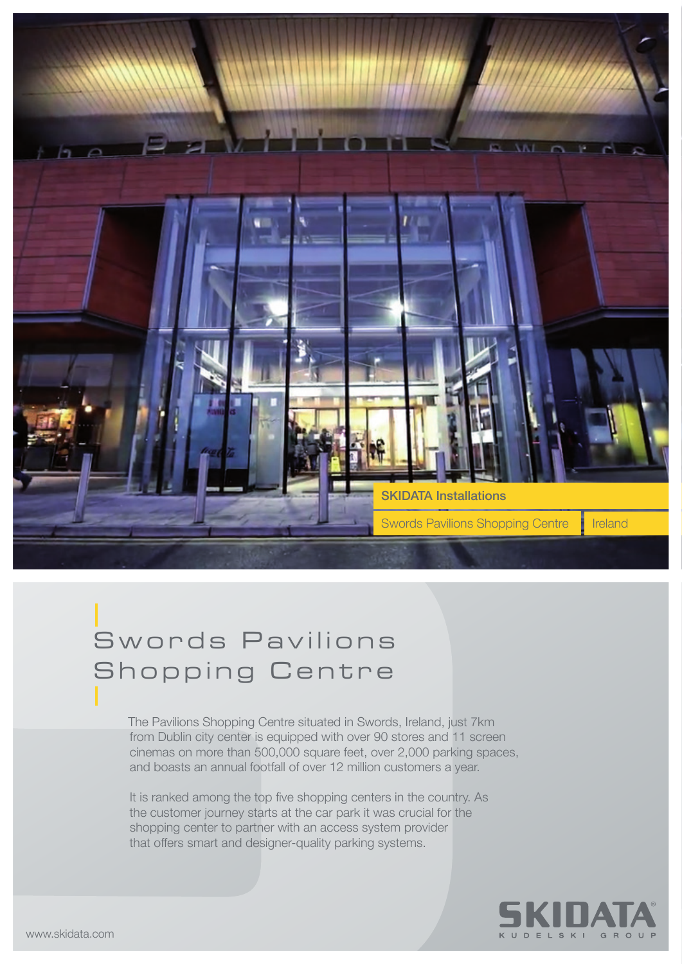

## Swords Pavilions Shopping Centre

The Pavilions Shopping Centre situated in Swords, Ireland, just 7km from Dublin city center is equipped with over 90 stores and 11 screen cinemas on more than 500,000 square feet, over 2,000 parking spaces, and boasts an annual footfall of over 12 million customers a year.

It is ranked among the top five shopping centers in the country. As the customer journey starts at the car park it was crucial for the shopping center to partner with an access system provider that offers smart and designer-quality parking systems.